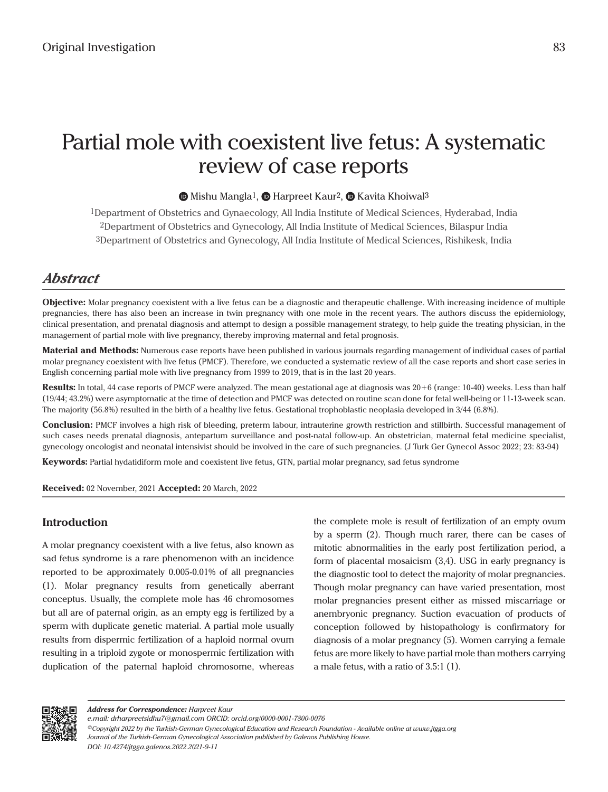# Partial mole with coexistent live fetus: A systematic review of case reports

# $\bullet$ Mishu Mangla<sup>1</sup>,  $\bullet$  Harpreet Kaur<sup>2</sup>,  $\bullet$  Kavita Khoiwal<sup>3</sup>

1Department of Obstetrics and Gynaecology, All India Institute of Medical Sciences, Hyderabad, India 2Department of Obstetrics and Gynecology, All India Institute of Medical Sciences, Bilaspur India 3Department of Obstetrics and Gynecology, All India Institute of Medical Sciences, Rishikesk, India

# *Abstract*

**Objective:** Molar pregnancy coexistent with a live fetus can be a diagnostic and therapeutic challenge. With increasing incidence of multiple pregnancies, there has also been an increase in twin pregnancy with one mole in the recent years. The authors discuss the epidemiology, clinical presentation, and prenatal diagnosis and attempt to design a possible management strategy, to help guide the treating physician, in the management of partial mole with live pregnancy, thereby improving maternal and fetal prognosis.

**Material and Methods:** Numerous case reports have been published in various journals regarding management of individual cases of partial molar pregnancy coexistent with live fetus (PMCF). Therefore, we conducted a systematic review of all the case reports and short case series in English concerning partial mole with live pregnancy from 1999 to 2019, that is in the last 20 years.

**Results:** In total, 44 case reports of PMCF were analyzed. The mean gestational age at diagnosis was 20+6 (range: 10-40) weeks. Less than half (19/44; 43.2%) were asymptomatic at the time of detection and PMCF was detected on routine scan done for fetal well-being or 11-13-week scan. The majority (56.8%) resulted in the birth of a healthy live fetus. Gestational trophoblastic neoplasia developed in 3/44 (6.8%).

**Conclusion:** PMCF involves a high risk of bleeding, preterm labour, intrauterine growth restriction and stillbirth. Successful management of such cases needs prenatal diagnosis, antepartum surveillance and post-natal follow-up. An obstetrician, maternal fetal medicine specialist, gynecology oncologist and neonatal intensivist should be involved in the care of such pregnancies. (J Turk Ger Gynecol Assoc 2022; 23: 83-94)

**Keywords:** Partial hydatidiform mole and coexistent live fetus, GTN, partial molar pregnancy, sad fetus syndrome

**Received:** 02 November, 2021 **Accepted:** 20 March, 2022

# **Introduction**

A molar pregnancy coexistent with a live fetus, also known as sad fetus syndrome is a rare phenomenon with an incidence reported to be approximately 0.005-0.01% of all pregnancies (1). Molar pregnancy results from genetically aberrant conceptus. Usually, the complete mole has 46 chromosomes but all are of paternal origin, as an empty egg is fertilized by a sperm with duplicate genetic material. A partial mole usually results from dispermic fertilization of a haploid normal ovum resulting in a triploid zygote or monospermic fertilization with duplication of the paternal haploid chromosome, whereas the complete mole is result of fertilization of an empty ovum by a sperm (2). Though much rarer, there can be cases of mitotic abnormalities in the early post fertilization period, a form of placental mosaicism (3,4). USG in early pregnancy is the diagnostic tool to detect the majority of molar pregnancies. Though molar pregnancy can have varied presentation, most molar pregnancies present either as missed miscarriage or anembryonic pregnancy. Suction evacuation of products of conception followed by histopathology is confirmatory for diagnosis of a molar pregnancy (5). Women carrying a female fetus are more likely to have partial mole than mothers carrying a male fetus, with a ratio of 3.5:1 (1).



*Address for Correspondence: Harpreet Kaur*

*e.mail: drharpreetsidhu7@gmail.com ORCID: orcid.org/0000-0001-7800-0076*

*DOI: 10.4274/jtgga.galenos.2022.2021-9-11 ©Copyright 2022 by the Turkish-German Gynecological Education and Research Foundation - Available online at www.jtgga.org Journal of the Turkish-German Gynecological Association published by Galenos Publishing House.*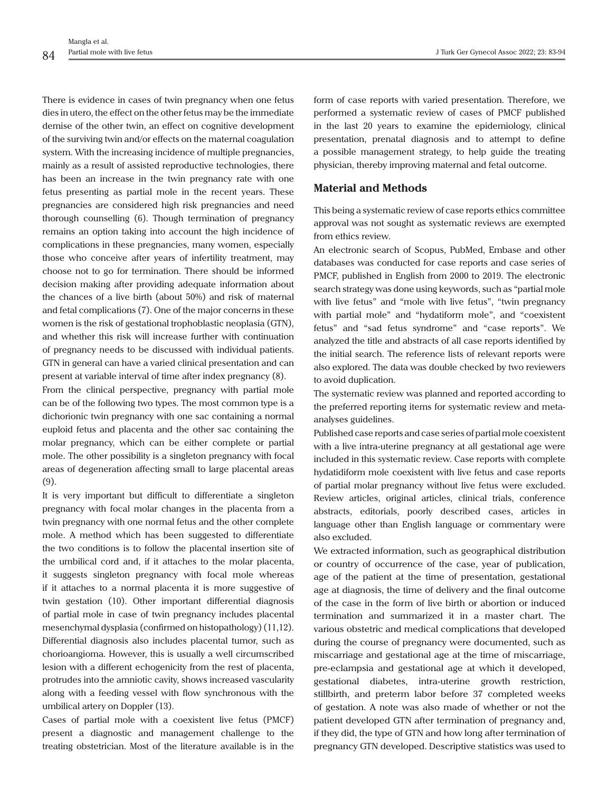There is evidence in cases of twin pregnancy when one fetus dies in utero, the effect on the other fetus may be the immediate demise of the other twin, an effect on cognitive development of the surviving twin and/or effects on the maternal coagulation system. With the increasing incidence of multiple pregnancies, mainly as a result of assisted reproductive technologies, there has been an increase in the twin pregnancy rate with one fetus presenting as partial mole in the recent years. These pregnancies are considered high risk pregnancies and need thorough counselling (6). Though termination of pregnancy remains an option taking into account the high incidence of complications in these pregnancies, many women, especially those who conceive after years of infertility treatment, may choose not to go for termination. There should be informed decision making after providing adequate information about the chances of a live birth (about 50%) and risk of maternal and fetal complications (7). One of the major concerns in these women is the risk of gestational trophoblastic neoplasia (GTN), and whether this risk will increase further with continuation of pregnancy needs to be discussed with individual patients. GTN in general can have a varied clinical presentation and can present at variable interval of time after index pregnancy (8).

From the clinical perspective, pregnancy with partial mole can be of the following two types. The most common type is a dichorionic twin pregnancy with one sac containing a normal euploid fetus and placenta and the other sac containing the molar pregnancy, which can be either complete or partial mole. The other possibility is a singleton pregnancy with focal areas of degeneration affecting small to large placental areas (9).

It is very important but difficult to differentiate a singleton pregnancy with focal molar changes in the placenta from a twin pregnancy with one normal fetus and the other complete mole. A method which has been suggested to differentiate the two conditions is to follow the placental insertion site of the umbilical cord and, if it attaches to the molar placenta, it suggests singleton pregnancy with focal mole whereas if it attaches to a normal placenta it is more suggestive of twin gestation (10). Other important differential diagnosis of partial mole in case of twin pregnancy includes placental mesenchymal dysplasia (confirmed on histopathology) (11,12). Differential diagnosis also includes placental tumor, such as chorioangioma. However, this is usually a well circumscribed lesion with a different echogenicity from the rest of placenta, protrudes into the amniotic cavity, shows increased vascularity along with a feeding vessel with flow synchronous with the umbilical artery on Doppler (13).

Cases of partial mole with a coexistent live fetus (PMCF) present a diagnostic and management challenge to the treating obstetrician. Most of the literature available is in the

form of case reports with varied presentation. Therefore, we performed a systematic review of cases of PMCF published in the last 20 years to examine the epidemiology, clinical presentation, prenatal diagnosis and to attempt to define a possible management strategy, to help guide the treating physician, thereby improving maternal and fetal outcome.

# **Material and Methods**

This being a systematic review of case reports ethics committee approval was not sought as systematic reviews are exempted from ethics review.

An electronic search of Scopus, PubMed, Embase and other databases was conducted for case reports and case series of PMCF, published in English from 2000 to 2019. The electronic search strategy was done using keywords, such as "partial mole with live fetus" and "mole with live fetus", "twin pregnancy with partial mole" and "hydatiform mole", and "coexistent fetus" and "sad fetus syndrome" and "case reports". We analyzed the title and abstracts of all case reports identified by the initial search. The reference lists of relevant reports were also explored. The data was double checked by two reviewers to avoid duplication.

The systematic review was planned and reported according to the preferred reporting items for systematic review and metaanalyses guidelines.

Published case reports and case series of partial mole coexistent with a live intra-uterine pregnancy at all gestational age were included in this systematic review. Case reports with complete hydatidiform mole coexistent with live fetus and case reports of partial molar pregnancy without live fetus were excluded. Review articles, original articles, clinical trials, conference abstracts, editorials, poorly described cases, articles in language other than English language or commentary were also excluded.

We extracted information, such as geographical distribution or country of occurrence of the case, year of publication, age of the patient at the time of presentation, gestational age at diagnosis, the time of delivery and the final outcome of the case in the form of live birth or abortion or induced termination and summarized it in a master chart. The various obstetric and medical complications that developed during the course of pregnancy were documented, such as miscarriage and gestational age at the time of miscarriage, pre-eclampsia and gestational age at which it developed, gestational diabetes, intra-uterine growth restriction, stillbirth, and preterm labor before 37 completed weeks of gestation. A note was also made of whether or not the patient developed GTN after termination of pregnancy and, if they did, the type of GTN and how long after termination of pregnancy GTN developed. Descriptive statistics was used to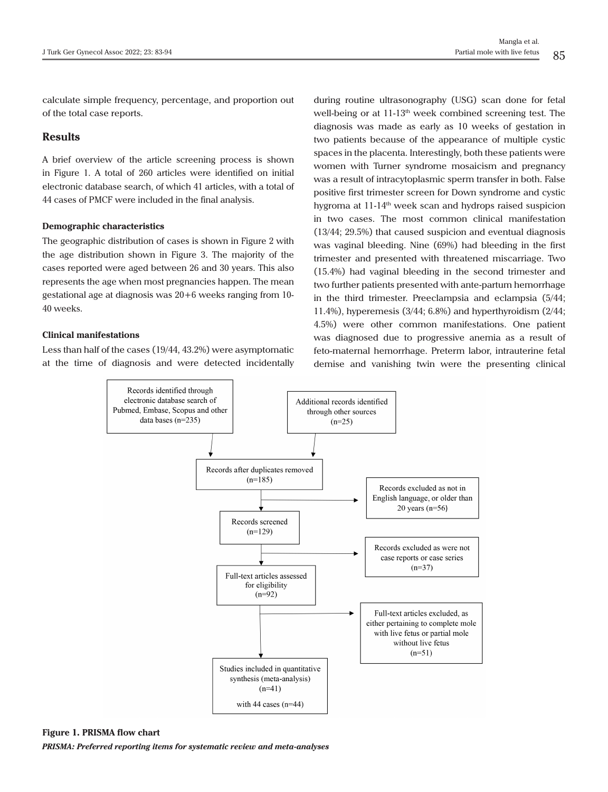calculate simple frequency, percentage, and proportion out of the total case reports.

### **Results**

A brief overview of the article screening process is shown in Figure 1. A total of 260 articles were identified on initial electronic database search, of which 41 articles, with a total of 44 cases of PMCF were included in the final analysis.

#### **Demographic characteristics**

The geographic distribution of cases is shown in Figure 2 with the age distribution shown in Figure 3. The majority of the cases reported were aged between 26 and 30 years. This also represents the age when most pregnancies happen. The mean gestational age at diagnosis was 20+6 weeks ranging from 10- 40 weeks.

#### **Clinical manifestations**

Less than half of the cases (19/44, 43.2%) were asymptomatic at the time of diagnosis and were detected incidentally

during routine ultrasonography (USG) scan done for fetal well-being or at  $11-13<sup>th</sup>$  week combined screening test. The diagnosis was made as early as 10 weeks of gestation in two patients because of the appearance of multiple cystic spaces in the placenta. Interestingly, both these patients were women with Turner syndrome mosaicism and pregnancy was a result of intracytoplasmic sperm transfer in both. False positive first trimester screen for Down syndrome and cystic hygroma at 11-14<sup>th</sup> week scan and hydrops raised suspicion in two cases. The most common clinical manifestation (13/44; 29.5%) that caused suspicion and eventual diagnosis was vaginal bleeding. Nine (69%) had bleeding in the first trimester and presented with threatened miscarriage. Two (15.4%) had vaginal bleeding in the second trimester and two further patients presented with ante-partum hemorrhage in the third trimester. Preeclampsia and eclampsia (5/44; 11.4%), hyperemesis (3/44; 6.8%) and hyperthyroidism (2/44; 4.5%) were other common manifestations. One patient was diagnosed due to progressive anemia as a result of feto-maternal hemorrhage. Preterm labor, intrauterine fetal demise and vanishing twin were the presenting clinical



**Figure 1. PRISMA flow chart** 

*PRISMA: Preferred reporting items for systematic review and meta-analyses*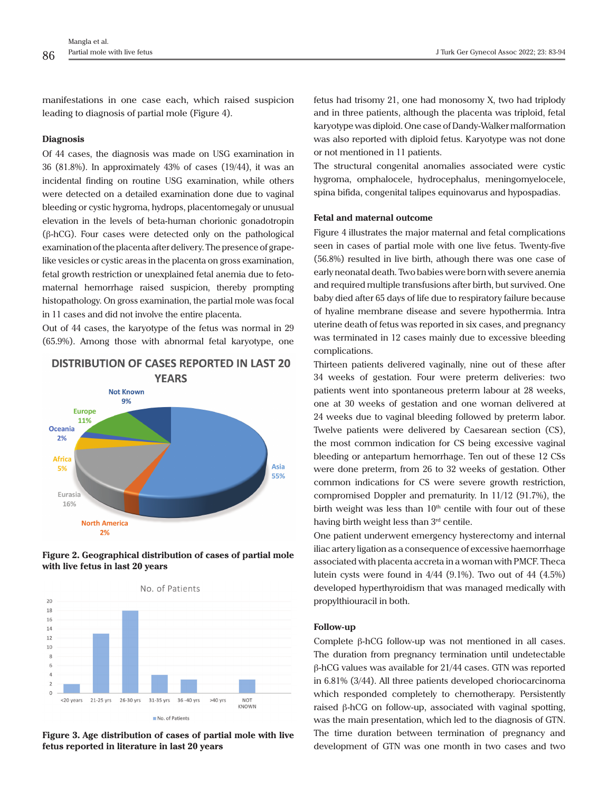manifestations in one case each, which raised suspicion leading to diagnosis of partial mole (Figure 4).

#### **Diagnosis**

Of 44 cases, the diagnosis was made on USG examination in 36 (81.8%). In approximately 43% of cases (19/44), it was an incidental finding on routine USG examination, while others were detected on a detailed examination done due to vaginal bleeding or cystic hygroma, hydrops, placentomegaly or unusual elevation in the levels of beta-human chorionic gonadotropin (β-hCG). Four cases were detected only on the pathological examination of the placenta after delivery. The presence of grapelike vesicles or cystic areas in the placenta on gross examination, fetal growth restriction or unexplained fetal anemia due to fetomaternal hemorrhage raised suspicion, thereby prompting histopathology. On gross examination, the partial mole was focal in 11 cases and did not involve the entire placenta.

Out of 44 cases, the karyotype of the fetus was normal in 29 (65.9%). Among those with abnormal fetal karyotype, one

**DISTRIBUTION OF CASES REPORTED IN LAST 20** 

### **YFARS Not Known** 9% **Europe** 11% Oceania  $2%$ **Africa** Asia 5% 55% Eurasia 16% **North America**  $2%$





**Figure 3. Age distribution of cases of partial mole with live fetus reported in literature in last 20 years**

fetus had trisomy 21, one had monosomy X, two had triplody and in three patients, although the placenta was triploid, fetal karyotype was diploid. One case of Dandy-Walker malformation was also reported with diploid fetus. Karyotype was not done or not mentioned in 11 patients.

The structural congenital anomalies associated were cystic hygroma, omphalocele, hydrocephalus, meningomyelocele, spina bifida, congenital talipes equinovarus and hypospadias.

#### **Fetal and maternal outcome**

Figure 4 illustrates the major maternal and fetal complications seen in cases of partial mole with one live fetus. Twenty-five (56.8%) resulted in live birth, athough there was one case of early neonatal death. Two babies were born with severe anemia and required multiple transfusions after birth, but survived. One baby died after 65 days of life due to respiratory failure because of hyaline membrane disease and severe hypothermia. Intra uterine death of fetus was reported in six cases, and pregnancy was terminated in 12 cases mainly due to excessive bleeding complications.

Thirteen patients delivered vaginally, nine out of these after 34 weeks of gestation. Four were preterm deliveries: two patients went into spontaneous preterm labour at 28 weeks, one at 30 weeks of gestation and one woman delivered at 24 weeks due to vaginal bleeding followed by preterm labor. Twelve patients were delivered by Caesarean section (CS), the most common indication for CS being excessive vaginal bleeding or antepartum hemorrhage. Ten out of these 12 CSs were done preterm, from 26 to 32 weeks of gestation. Other common indications for CS were severe growth restriction, compromised Doppler and prematurity. In 11/12 (91.7%), the birth weight was less than  $10<sup>th</sup>$  centile with four out of these having birth weight less than 3rd centile.

One patient underwent emergency hysterectomy and internal iliac artery ligation as a consequence of excessive haemorrhage associated with placenta accreta in a woman with PMCF. Theca lutein cysts were found in  $4/44$  (9.1%). Two out of  $44$  (4.5%) developed hyperthyroidism that was managed medically with propylthiouracil in both.

#### **Follow-up**

Complete β-hCG follow-up was not mentioned in all cases. The duration from pregnancy termination until undetectable β-hCG values was available for 21/44 cases. GTN was reported in 6.81% (3/44). All three patients developed choriocarcinoma which responded completely to chemotherapy. Persistently raised β-hCG on follow-up, associated with vaginal spotting, was the main presentation, which led to the diagnosis of GTN. The time duration between termination of pregnancy and development of GTN was one month in two cases and two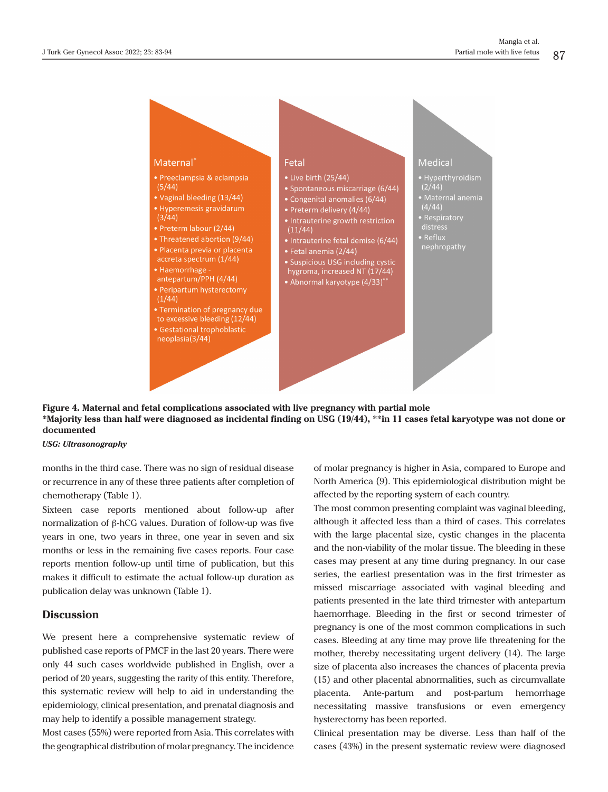

**Figure 4. Maternal and fetal complications associated with live pregnancy with partial mole \*Majority less than half were diagnosed as incidental finding on USG (19/44), \*\*in 11 cases fetal karyotype was not done or documented**

#### *USG: Ultrasonography*

months in the third case. There was no sign of residual disease or recurrence in any of these three patients after completion of chemotherapy (Table 1).

Sixteen case reports mentioned about follow-up after normalization of β-hCG values. Duration of follow-up was five years in one, two years in three, one year in seven and six months or less in the remaining five cases reports. Four case reports mention follow-up until time of publication, but this makes it difficult to estimate the actual follow-up duration as publication delay was unknown (Table 1).

# **Discussion**

We present here a comprehensive systematic review of published case reports of PMCF in the last 20 years. There were only 44 such cases worldwide published in English, over a period of 20 years, suggesting the rarity of this entity. Therefore, this systematic review will help to aid in understanding the epidemiology, clinical presentation, and prenatal diagnosis and may help to identify a possible management strategy.

Most cases (55%) were reported from Asia. This correlates with the geographical distribution of molar pregnancy. The incidence

of molar pregnancy is higher in Asia, compared to Europe and North America (9). This epidemiological distribution might be affected by the reporting system of each country.

The most common presenting complaint was vaginal bleeding, although it affected less than a third of cases. This correlates with the large placental size, cystic changes in the placenta and the non-viability of the molar tissue. The bleeding in these cases may present at any time during pregnancy. In our case series, the earliest presentation was in the first trimester as missed miscarriage associated with vaginal bleeding and patients presented in the late third trimester with antepartum haemorrhage. Bleeding in the first or second trimester of pregnancy is one of the most common complications in such cases. Bleeding at any time may prove life threatening for the mother, thereby necessitating urgent delivery (14). The large size of placenta also increases the chances of placenta previa (15) and other placental abnormalities, such as circumvallate placenta. Ante-partum and post-partum hemorrhage necessitating massive transfusions or even emergency hysterectomy has been reported.

Clinical presentation may be diverse. Less than half of the cases (43%) in the present systematic review were diagnosed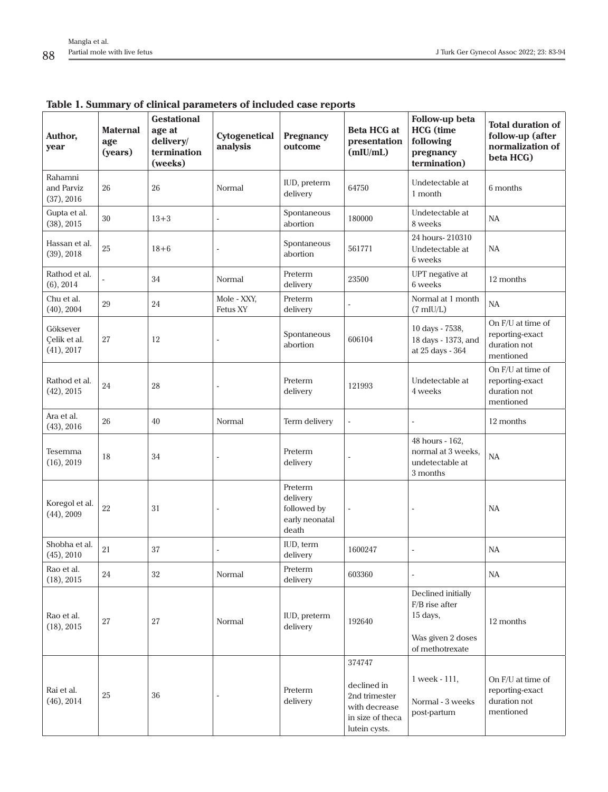| Author,<br>year                        | <b>Maternal</b><br>age<br>(years) | <b>Gestational</b><br>age at<br>delivery/<br>termination<br>(weeks) | Cytogenetical<br>analysis | <b>Pregnancy</b><br>outcome                                   | <b>Beta HCG at</b><br>presentation<br>(mIU/mL)                                               | Follow-up beta<br><b>HCG</b> (time<br>following<br>pregnancy<br>termination)             | <b>Total duration of</b><br>follow-up (after<br>normalization of<br>beta HCG) |
|----------------------------------------|-----------------------------------|---------------------------------------------------------------------|---------------------------|---------------------------------------------------------------|----------------------------------------------------------------------------------------------|------------------------------------------------------------------------------------------|-------------------------------------------------------------------------------|
| Rahamni<br>and Parviz<br>(37), 2016    | 26                                | 26                                                                  | Normal                    | IUD, preterm<br>delivery                                      | 64750                                                                                        | Undetectable at<br>1 month                                                               | 6 months                                                                      |
| Gupta et al.<br>(38), 2015             | 30                                | $13 + 3$                                                            | ä,                        | Spontaneous<br>abortion                                       | 180000                                                                                       | Undetectable at<br>8 weeks                                                               | NA                                                                            |
| Hassan et al.<br>(39), 2018            | 25                                | $18 + 6$                                                            |                           | Spontaneous<br>abortion                                       | 561771                                                                                       | 24 hours-210310<br>Undetectable at<br>6 weeks                                            | NA                                                                            |
| Rathod et al.<br>$(6)$ , 2014          |                                   | 34                                                                  | Normal                    | Preterm<br>delivery                                           | 23500                                                                                        | UPT negative at<br>6 weeks                                                               | 12 months                                                                     |
| Chu et al.<br>(40), 2004               | 29                                | 24                                                                  | Mole - XXY,<br>Fetus XY   | Preterm<br>delivery                                           | $\overline{\phantom{a}}$                                                                     | Normal at 1 month<br>$(7 \text{ milU/L})$                                                | NA                                                                            |
| Göksever<br>Çelik et al.<br>(41), 2017 | 27                                | 12                                                                  |                           | Spontaneous<br>abortion                                       | 606104                                                                                       | 10 days - 7538,<br>18 days - 1373, and<br>at 25 days - 364                               | On F/U at time of<br>reporting-exact<br>duration not<br>mentioned             |
| Rathod et al.<br>(42), 2015            | 24                                | 28                                                                  |                           | Preterm<br>delivery                                           | 121993                                                                                       | Undetectable at<br>4 weeks                                                               | On F/U at time of<br>reporting-exact<br>duration not<br>mentioned             |
| Ara et al.<br>(43), 2016               | 26                                | 40                                                                  | Normal                    | Term delivery                                                 | $\overline{a}$                                                                               |                                                                                          | 12 months                                                                     |
| Tesemma<br>(16), 2019                  | 18                                | 34                                                                  |                           | Preterm<br>delivery                                           |                                                                                              | 48 hours - 162,<br>normal at 3 weeks,<br>undetectable at<br>3 months                     | NA                                                                            |
| Koregol et al.<br>$(44)$ , 2009        | 22                                | 31                                                                  | $\overline{\phantom{a}}$  | Preterm<br>delivery<br>followed by<br>early neonatal<br>death | $\overline{\phantom{a}}$                                                                     | $\blacksquare$                                                                           | NA                                                                            |
| Shobha et al.<br>(45), 2010            | 21                                | 37                                                                  |                           | IUD, term<br>delivery                                         | 1600247                                                                                      |                                                                                          | NA                                                                            |
| Rao et al.<br>(18), 2015               | 24                                | 32                                                                  | Normal                    | Preterm<br>delivery                                           | 603360                                                                                       | ÷,                                                                                       | NA                                                                            |
| Rao et al.<br>(18), 2015               | 27                                | 27                                                                  | Normal                    | IUD, preterm<br>delivery                                      | 192640                                                                                       | Declined initially<br>F/B rise after<br>15 days,<br>Was given 2 doses<br>of methotrexate | 12 months                                                                     |
| Rai et al.<br>(46), 2014               | 25                                | 36                                                                  |                           | Preterm<br>delivery                                           | 374747<br>declined in<br>2nd trimester<br>with decrease<br>in size of theca<br>lutein cysts. | 1 week - 111,<br>Normal - 3 weeks<br>post-partum                                         | On F/U at time of<br>reporting-exact<br>duration not<br>mentioned             |

# **Table 1. Summary of clinical parameters of included case reports**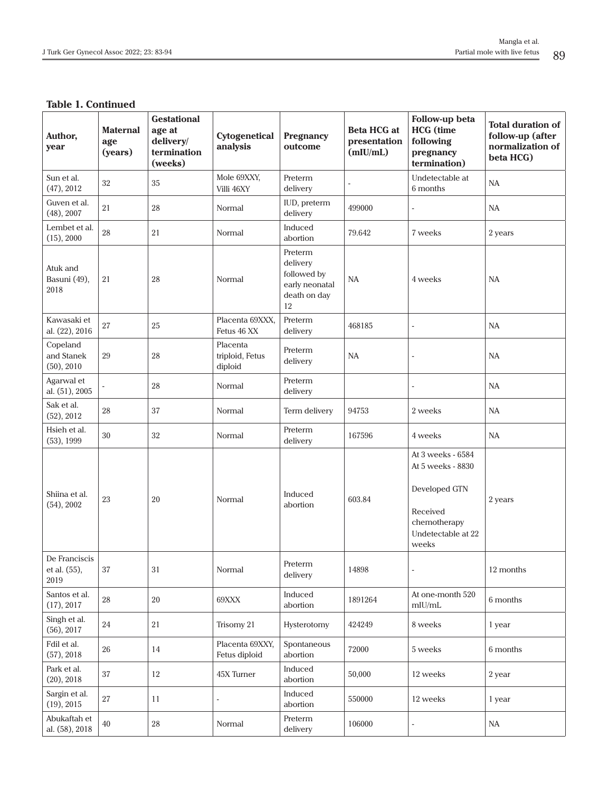# **Table 1. Continued**

| Author,<br>year                       | <b>Maternal</b><br>age<br>(years) | <b>Gestational</b><br>age at<br>delivery/<br>termination<br>(weeks) | Cytogenetical<br>analysis              | Pregnancy<br>outcome                                                       | <b>Beta HCG at</b><br>presentation<br>(mIU/mL) | Follow-up beta<br><b>HCG</b> (time<br>following<br>pregnancy<br>termination)                                       | <b>Total duration of</b><br>follow-up (after<br>normalization of<br>beta HCG) |
|---------------------------------------|-----------------------------------|---------------------------------------------------------------------|----------------------------------------|----------------------------------------------------------------------------|------------------------------------------------|--------------------------------------------------------------------------------------------------------------------|-------------------------------------------------------------------------------|
| Sun et al.<br>(47), 2012              | 32                                | 35                                                                  | Mole 69XXY,<br>Villi 46XY              | Preterm<br>delivery                                                        |                                                | Undetectable at<br>6 months                                                                                        | NA                                                                            |
| Guven et al.<br>(48), 2007            | 21                                | 28                                                                  | Normal                                 | IUD, preterm<br>delivery                                                   | 499000                                         | $\overline{\phantom{a}}$                                                                                           | <b>NA</b>                                                                     |
| Lembet et al.<br>(15), 2000           | $\rm 28$                          | 21                                                                  | Normal                                 | Induced<br>abortion                                                        | 79.642                                         | 7 weeks                                                                                                            | 2 years                                                                       |
| Atuk and<br>Basuni (49),<br>2018      | 21                                | 28                                                                  | Normal                                 | Preterm<br>delivery<br>followed by<br>early neonatal<br>death on day<br>12 | NA                                             | 4 weeks                                                                                                            | <b>NA</b>                                                                     |
| Kawasaki et<br>al. (22), 2016         | $27\,$                            | 25                                                                  | Placenta 69XXX,<br>Fetus 46 XX         | Preterm<br>delivery                                                        | 468185                                         | $\overline{a}$                                                                                                     | NA                                                                            |
| Copeland<br>and Stanek<br>(50), 2010  | $29\,$                            | 28                                                                  | Placenta<br>triploid, Fetus<br>diploid | Preterm<br>delivery                                                        | NA                                             | $\bar{a}$                                                                                                          | NA                                                                            |
| Agarwal et<br>al. (51), 2005          |                                   | 28                                                                  | Normal                                 | Preterm<br>delivery                                                        |                                                | $\overline{\phantom{a}}$                                                                                           | NA                                                                            |
| Sak et al.<br>(52), 2012              | 28                                | 37                                                                  | Normal                                 | Term delivery                                                              | 94753                                          | 2 weeks                                                                                                            | <b>NA</b>                                                                     |
| Hsieh et al.<br>$(53)$ , 1999         | 30                                | 32                                                                  | Normal                                 | Preterm<br>delivery                                                        | 167596                                         | 4 weeks                                                                                                            | NA                                                                            |
| Shiina et al.<br>$(54)$ , 2002        | 23                                | 20                                                                  | Normal                                 | Induced<br>abortion                                                        | 603.84                                         | At 3 weeks - 6584<br>At 5 weeks - 8830<br>Developed GTN<br>Received<br>chemotherapy<br>Undetectable at 22<br>weeks | 2 years                                                                       |
| De Franciscis<br>et al. (55),<br>2019 | $37\,$                            | $31\,$                                                              | Normal                                 | Preterm<br>delivery                                                        | 14898                                          | $\blacksquare$                                                                                                     | 12 months                                                                     |
| Santos et al.<br>(17), 2017           | $28\,$                            | 20                                                                  | 69XXX                                  | Induced<br>abortion                                                        | 1891264                                        | At one-month 520<br>mIU/mL                                                                                         | 6 months                                                                      |
| Singh et al.<br>(56), 2017            | 24                                | 21                                                                  | Trisomy 21                             | Hysterotomy                                                                | 424249                                         | 8 weeks                                                                                                            | 1 year                                                                        |
| Fdil et al.<br>(57), 2018             | 26                                | 14                                                                  | Placenta 69XXY,<br>Fetus diploid       | Spontaneous<br>abortion                                                    | 72000                                          | 5 weeks                                                                                                            | 6 months                                                                      |
| Park et al.<br>(20), 2018             | 37                                | 12                                                                  | 45X Turner                             | Induced<br>abortion                                                        | 50,000                                         | 12 weeks                                                                                                           | 2 year                                                                        |
| Sargin et al.<br>(19), 2015           | 27                                | 11                                                                  |                                        | Induced<br>abortion                                                        | 550000                                         | 12 weeks                                                                                                           | 1 year                                                                        |
| Abukaftah et<br>al. (58), 2018        | $40\,$                            | $28\,$                                                              | Normal                                 | Preterm<br>delivery                                                        | 106000                                         | ÷,                                                                                                                 | NA                                                                            |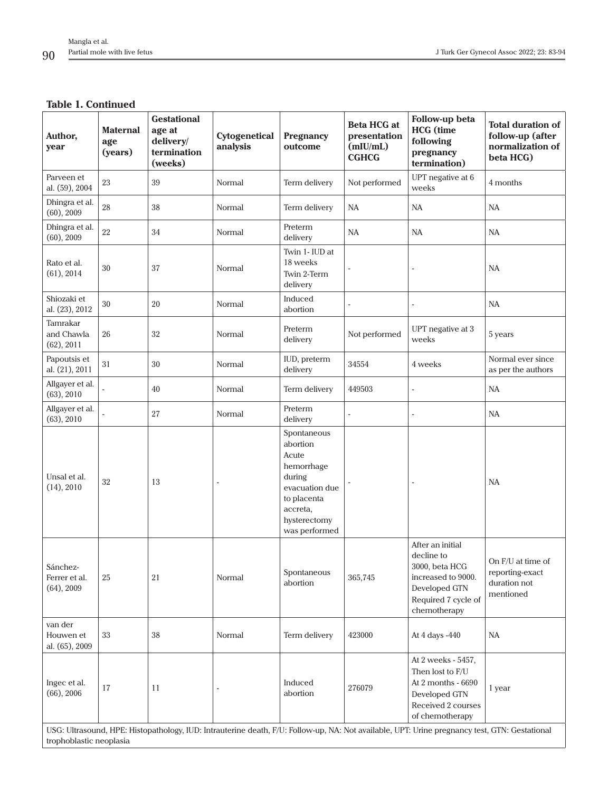# **Table 1. Continued**

| Author,<br>year                                                                                                                                                          | <b>Maternal</b><br>age<br>(years) | <b>Gestational</b><br>age at<br>delivery/<br>termination<br>(weeks) | Cytogenetical<br>analysis | <b>Pregnancy</b><br>outcome                                                                                                            | <b>Beta HCG at</b><br>presentation<br>(mIU/mL)<br><b>CGHCG</b> | Follow-up beta<br><b>HCG</b> (time<br>following<br>pregnancy<br>termination)                                                   | <b>Total duration of</b><br>follow-up (after<br>normalization of<br>beta HCG) |
|--------------------------------------------------------------------------------------------------------------------------------------------------------------------------|-----------------------------------|---------------------------------------------------------------------|---------------------------|----------------------------------------------------------------------------------------------------------------------------------------|----------------------------------------------------------------|--------------------------------------------------------------------------------------------------------------------------------|-------------------------------------------------------------------------------|
| Parveen et<br>al. (59), 2004                                                                                                                                             | 23                                | 39                                                                  | Normal                    | Term delivery                                                                                                                          | Not performed                                                  | UPT negative at 6<br>weeks                                                                                                     | 4 months                                                                      |
| Dhingra et al.<br>(60), 2009                                                                                                                                             | 28                                | 38                                                                  | Normal                    | Term delivery                                                                                                                          | <b>NA</b>                                                      | NA                                                                                                                             | NA                                                                            |
| Dhingra et al.<br>(60), 2009                                                                                                                                             | $22\,$                            | 34                                                                  | Normal                    | Preterm<br>delivery                                                                                                                    | <b>NA</b>                                                      | NA                                                                                                                             | NA                                                                            |
| Rato et al.<br>(61), 2014                                                                                                                                                | 30                                | 37                                                                  | Normal                    | Twin 1- IUD at<br>18 weeks<br>Twin 2-Term<br>delivery                                                                                  |                                                                |                                                                                                                                | NA                                                                            |
| Shiozaki et<br>al. (23), 2012                                                                                                                                            | 30                                | 20                                                                  | Normal                    | Induced<br>abortion                                                                                                                    |                                                                | ÷                                                                                                                              | NA                                                                            |
| Tamrakar<br>and Chawla<br>(62), 2011                                                                                                                                     | $26\,$                            | 32                                                                  | Normal                    | Preterm<br>delivery                                                                                                                    | Not performed                                                  | UPT negative at 3<br>weeks                                                                                                     | 5 years                                                                       |
| Papoutsis et<br>al. (21), 2011                                                                                                                                           | 31                                | 30                                                                  | Normal                    | IUD, preterm<br>delivery                                                                                                               | 34554                                                          | 4 weeks                                                                                                                        | Normal ever since<br>as per the authors                                       |
| Allgayer et al.<br>(63), 2010                                                                                                                                            |                                   | 40                                                                  | Normal                    | Term delivery                                                                                                                          | 449503                                                         | $\overline{a}$                                                                                                                 | NA                                                                            |
| Allgayer et al.<br>(63), 2010                                                                                                                                            |                                   | 27                                                                  | Normal                    | Preterm<br>delivery                                                                                                                    | ÷,                                                             | ÷,                                                                                                                             | NA                                                                            |
| Unsal et al.<br>(14), 2010                                                                                                                                               | 32                                | 13                                                                  | $\overline{\phantom{a}}$  | Spontaneous<br>abortion<br>Acute<br>hemorrhage<br>during<br>evacuation due<br>to placenta<br>accreta,<br>hysterectomy<br>was performed |                                                                |                                                                                                                                | NA                                                                            |
| Sánchez-<br>Ferrer et al.<br>$(64)$ , 2009                                                                                                                               | 25                                | 21                                                                  | Normal                    | Spontaneous<br>abortion                                                                                                                | 365,745                                                        | After an initial<br>decline to<br>3000, beta HCG<br>increased to 9000.<br>Developed GTN<br>Required 7 cycle of<br>chemotherapy | On F/U at time of<br>reporting-exact<br>duration not<br>mentioned             |
| van der<br>Houwen et<br>al. (65), 2009                                                                                                                                   | 33                                | 38                                                                  | Normal                    | Term delivery                                                                                                                          | 423000                                                         | At 4 days -440                                                                                                                 | <b>NA</b>                                                                     |
| Ingec et al.<br>$(66)$ , 2006                                                                                                                                            | 17                                | 11                                                                  | $\overline{\phantom{a}}$  | Induced<br>abortion                                                                                                                    | 276079                                                         | At 2 weeks - 5457,<br>Then lost to F/U<br>At 2 months - 6690<br>Developed GTN<br>Received 2 courses<br>of chemotherapy         | 1 year                                                                        |
| USG: Ultrasound, HPE: Histopathology, IUD: Intrauterine death, F/U: Follow-up, NA: Not available, UPT: Urine pregnancy test, GTN: Gestational<br>trophoblastic neoplasia |                                   |                                                                     |                           |                                                                                                                                        |                                                                |                                                                                                                                |                                                                               |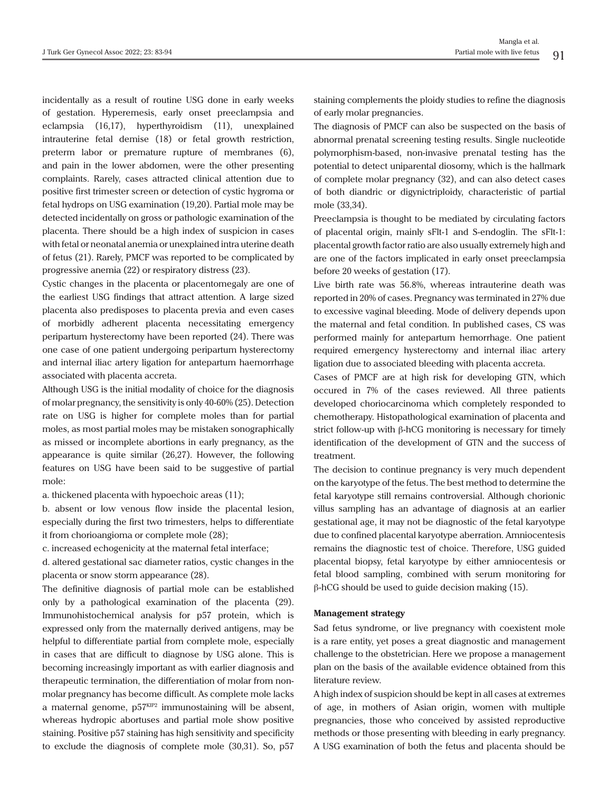incidentally as a result of routine USG done in early weeks of gestation. Hyperemesis, early onset preeclampsia and eclampsia (16,17), hyperthyroidism (11), unexplained intrauterine fetal demise (18) or fetal growth restriction, preterm labor or premature rupture of membranes (6), and pain in the lower abdomen, were the other presenting complaints. Rarely, cases attracted clinical attention due to positive first trimester screen or detection of cystic hygroma or fetal hydrops on USG examination (19,20). Partial mole may be detected incidentally on gross or pathologic examination of the placenta. There should be a high index of suspicion in cases with fetal or neonatal anemia or unexplained intra uterine death of fetus (21). Rarely, PMCF was reported to be complicated by progressive anemia (22) or respiratory distress (23).

Cystic changes in the placenta or placentomegaly are one of the earliest USG findings that attract attention. A large sized placenta also predisposes to placenta previa and even cases of morbidly adherent placenta necessitating emergency peripartum hysterectomy have been reported (24). There was one case of one patient undergoing peripartum hysterectomy and internal iliac artery ligation for antepartum haemorrhage associated with placenta accreta.

Although USG is the initial modality of choice for the diagnosis of molar pregnancy, the sensitivity is only 40-60% (25). Detection rate on USG is higher for complete moles than for partial moles, as most partial moles may be mistaken sonographically as missed or incomplete abortions in early pregnancy, as the appearance is quite similar (26,27). However, the following features on USG have been said to be suggestive of partial mole:

a. thickened placenta with hypoechoic areas (11);

b. absent or low venous flow inside the placental lesion, especially during the first two trimesters, helps to differentiate it from chorioangioma or complete mole (28);

c. increased echogenicity at the maternal fetal interface;

d. altered gestational sac diameter ratios, cystic changes in the placenta or snow storm appearance (28).

The definitive diagnosis of partial mole can be established only by a pathological examination of the placenta (29). Immunohistochemical analysis for p57 protein, which is expressed only from the maternally derived antigens, may be helpful to differentiate partial from complete mole, especially in cases that are difficult to diagnose by USG alone. This is becoming increasingly important as with earlier diagnosis and therapeutic termination, the differentiation of molar from nonmolar pregnancy has become difficult. As complete mole lacks a maternal genome,  $p57<sup>KIP2</sup>$  immunostaining will be absent, whereas hydropic abortuses and partial mole show positive staining. Positive p57 staining has high sensitivity and specificity to exclude the diagnosis of complete mole (30,31). So, p57

staining complements the ploidy studies to refine the diagnosis of early molar pregnancies.

The diagnosis of PMCF can also be suspected on the basis of abnormal prenatal screening testing results. Single nucleotide polymorphism-based, non-invasive prenatal testing has the potential to detect uniparental diosomy, which is the hallmark of complete molar pregnancy (32), and can also detect cases of both diandric or digynictriploidy, characteristic of partial mole (33,34).

Preeclampsia is thought to be mediated by circulating factors of placental origin, mainly sFlt-1 and S-endoglin. The sFlt-1: placental growth factor ratio are also usually extremely high and are one of the factors implicated in early onset preeclampsia before 20 weeks of gestation (17).

Live birth rate was 56.8%, whereas intrauterine death was reported in 20% of cases. Pregnancy was terminated in 27% due to excessive vaginal bleeding. Mode of delivery depends upon the maternal and fetal condition. In published cases, CS was performed mainly for antepartum hemorrhage. One patient required emergency hysterectomy and internal iliac artery ligation due to associated bleeding with placenta accreta.

Cases of PMCF are at high risk for developing GTN, which occured in 7% of the cases reviewed. All three patients developed choriocarcinoma which completely responded to chemotherapy. Histopathological examination of placenta and strict follow-up with β-hCG monitoring is necessary for timely identification of the development of GTN and the success of treatment.

The decision to continue pregnancy is very much dependent on the karyotype of the fetus. The best method to determine the fetal karyotype still remains controversial. Although chorionic villus sampling has an advantage of diagnosis at an earlier gestational age, it may not be diagnostic of the fetal karyotype due to confined placental karyotype aberration. Amniocentesis remains the diagnostic test of choice. Therefore, USG guided placental biopsy, fetal karyotype by either amniocentesis or fetal blood sampling, combined with serum monitoring for  $β$ -hCG should be used to guide decision making (15).

#### **Management strategy**

Sad fetus syndrome, or live pregnancy with coexistent mole is a rare entity, yet poses a great diagnostic and management challenge to the obstetrician. Here we propose a management plan on the basis of the available evidence obtained from this literature review.

A high index of suspicion should be kept in all cases at extremes of age, in mothers of Asian origin, women with multiple pregnancies, those who conceived by assisted reproductive methods or those presenting with bleeding in early pregnancy. A USG examination of both the fetus and placenta should be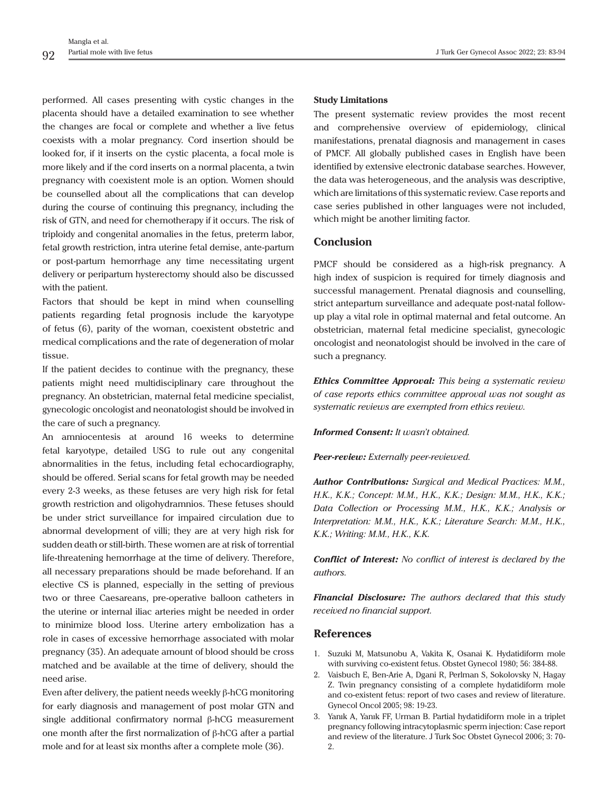performed. All cases presenting with cystic changes in the placenta should have a detailed examination to see whether the changes are focal or complete and whether a live fetus coexists with a molar pregnancy. Cord insertion should be looked for, if it inserts on the cystic placenta, a focal mole is more likely and if the cord inserts on a normal placenta, a twin pregnancy with coexistent mole is an option. Women should be counselled about all the complications that can develop during the course of continuing this pregnancy, including the risk of GTN, and need for chemotherapy if it occurs. The risk of triploidy and congenital anomalies in the fetus, preterm labor, fetal growth restriction, intra uterine fetal demise, ante-partum or post-partum hemorrhage any time necessitating urgent delivery or peripartum hysterectomy should also be discussed with the patient.

Factors that should be kept in mind when counselling patients regarding fetal prognosis include the karyotype of fetus (6), parity of the woman, coexistent obstetric and medical complications and the rate of degeneration of molar tissue.

If the patient decides to continue with the pregnancy, these patients might need multidisciplinary care throughout the pregnancy. An obstetrician, maternal fetal medicine specialist, gynecologic oncologist and neonatologist should be involved in the care of such a pregnancy.

An amniocentesis at around 16 weeks to determine fetal karyotype, detailed USG to rule out any congenital abnormalities in the fetus, including fetal echocardiography, should be offered. Serial scans for fetal growth may be needed every 2-3 weeks, as these fetuses are very high risk for fetal growth restriction and oligohydramnios. These fetuses should be under strict surveillance for impaired circulation due to abnormal development of villi; they are at very high risk for sudden death or still-birth. These women are at risk of torrential life-threatening hemorrhage at the time of delivery. Therefore, all necessary preparations should be made beforehand. If an elective CS is planned, especially in the setting of previous two or three Caesareans, pre-operative balloon catheters in the uterine or internal iliac arteries might be needed in order to minimize blood loss. Uterine artery embolization has a role in cases of excessive hemorrhage associated with molar pregnancy (35). An adequate amount of blood should be cross matched and be available at the time of delivery, should the need arise.

Even after delivery, the patient needs weekly β-hCG monitoring for early diagnosis and management of post molar GTN and single additional confirmatory normal β-hCG measurement one month after the first normalization of β-hCG after a partial mole and for at least six months after a complete mole (36).

#### **Study Limitations**

The present systematic review provides the most recent and comprehensive overview of epidemiology, clinical manifestations, prenatal diagnosis and management in cases of PMCF. All globally published cases in English have been identified by extensive electronic database searches. However, the data was heterogeneous, and the analysis was descriptive, which are limitations of this systematic review. Case reports and case series published in other languages were not included, which might be another limiting factor.

# **Conclusion**

PMCF should be considered as a high-risk pregnancy. A high index of suspicion is required for timely diagnosis and successful management. Prenatal diagnosis and counselling, strict antepartum surveillance and adequate post-natal followup play a vital role in optimal maternal and fetal outcome. An obstetrician, maternal fetal medicine specialist, gynecologic oncologist and neonatologist should be involved in the care of such a pregnancy.

*Ethics Committee Approval: This being a systematic review of case reports ethics committee approval was not sought as systematic reviews are exempted from ethics review.*

#### *Informed Consent: It wasn't obtained.*

*Peer-review: Externally peer-reviewed.*

*Author Contributions: Surgical and Medical Practices: M.M., H.K., K.K.; Concept: M.M., H.K., K.K.; Design: M.M., H.K., K.K.; Data Collection or Processing M.M., H.K., K.K.; Analysis or Interpretation: M.M., H.K., K.K.; Literature Search: M.M., H.K., K.K.; Writing: M.M., H.K., K.K.*

*Conflict of Interest: No conflict of interest is declared by the authors.*

*Financial Disclosure: The authors declared that this study received no financial support.*

#### **References**

- 1. Suzuki M, Matsunobu A, Vakita K, Osanai K. Hydatidiform mole with surviving co-existent fetus. Obstet Gynecol 1980; 56: 384-88.
- 2. Vaisbuch E, Ben-Arie A, Dgani R, Perlman S, Sokolovsky N, Hagay Z. Twin pregnancy consisting of a complete hydatidiform mole and co-existent fetus: report of two cases and review of literature. Gynecol Oncol 2005; 98: 19-23.
- 3. Yanık A, Yanık FF, Urman B. Partial hydatidiform mole in a triplet pregnancy following intracytoplasmic sperm injection: Case report and review of the literature. J Turk Soc Obstet Gynecol 2006; 3: 70- 2.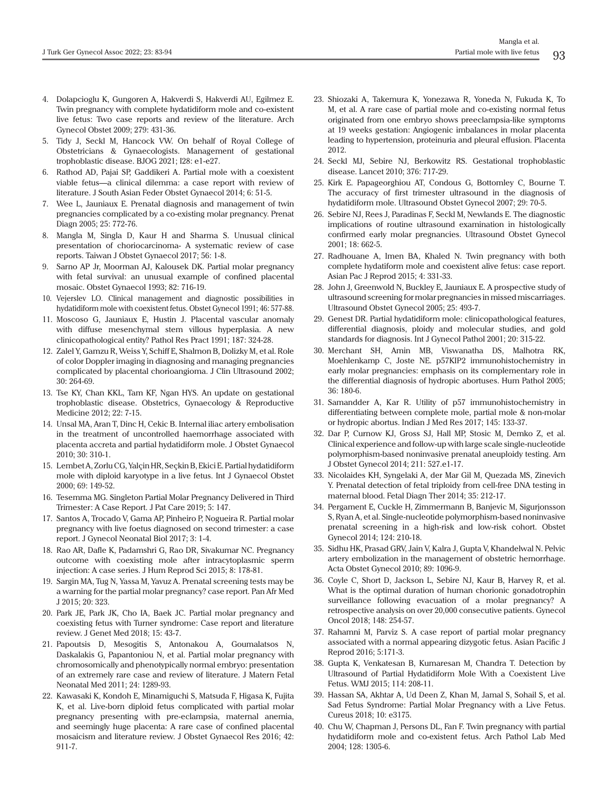- 4. Dolapcioglu K, Gungoren A, Hakverdi S, Hakverdi AU, Egilmez E. Twin pregnancy with complete hydatidiform mole and co-existent live fetus: Two case reports and review of the literature. Arch Gynecol Obstet 2009; 279: 431-36.
- 5. Tidy J, Seckl M, Hancock VW. On behalf of Royal College of Obstetricians & Gynaecologists. Management of gestational trophoblastic disease. BJOG 2021; I28: e1-e27.
- 6. Rathod AD, Pajai SP, Gaddikeri A. Partial mole with a coexistent viable fetus—a clinical dilemma: a case report with review of literature. J South Asian Feder Obstet Gynaecol 2014; 6: 51-5.
- 7. Wee L, Jauniaux E. Prenatal diagnosis and management of twin pregnancies complicated by a co-existing molar pregnancy. Prenat Diagn 2005; 25: 772-76.
- 8. Mangla M, Singla D, Kaur H and Sharma S. Unusual clinical presentation of choriocarcinoma- A systematic review of case reports. Taiwan J Obstet Gynaecol 2017; 56: 1-8.
- 9. Sarno AP Jr, Moorman AJ, Kalousek DK. Partial molar pregnancy with fetal survival: an unusual example of confined placental mosaic. Obstet Gynaecol 1993; 82: 716-19.
- 10. Vejerslev LO. Clinical management and diagnostic possibilities in hydatidiform mole with coexistent fetus. Obstet Gynecol 1991; 46: 577-88.
- 11. Moscoso G, Jauniaux E, Hustin J. Placental vascular anomaly with diffuse mesenchymal stem villous hyperplasia. A new clinicopathological entity? Pathol Res Pract 1991; 187: 324-28.
- 12. Zalel Y, Gamzu R, Weiss Y, Schiff E, Shalmon B, Dolizky M, et al. Role of color Doppler imaging in diagnosing and managing pregnancies complicated by placental chorioangioma. J Clin Ultrasound 2002; 30: 264-69.
- 13. Tse KY, Chan KKL, Tam KF, Ngan HYS. An update on gestational trophoblastic disease. Obstetrics, Gynaecology & Reproductive Medicine 2012; 22: 7-15.
- 14. Unsal MA, Aran T, Dinc H, Cekic B. Internal iliac artery embolisation in the treatment of uncontrolled haemorrhage associated with placenta accreta and partial hydatidiform mole. J Obstet Gynaecol 2010; 30: 310-1.
- 15. Lembet A, Zorlu CG, Yalçin HR, Seçkin B, Ekici E. Partial hydatidiform mole with diploid karyotype in a live fetus. Int J Gynaecol Obstet 2000; 69: 149-52.
- 16. Tesemma MG. Singleton Partial Molar Pregnancy Delivered in Third Trimester: A Case Report. J Pat Care 2019; 5: 147.
- 17. Santos A, Trocado V, Gama AP, Pinheiro P, Nogueira R. Partial molar pregnancy with live foetus diagnosed on second trimester: a case report. J Gynecol Neonatal Biol 2017; 3: 1-4.
- 18. Rao AR, Dafle K, Padamshri G, Rao DR, Sivakumar NC. Pregnancy outcome with coexisting mole after intracytoplasmic sperm injection: A case series. J Hum Reprod Sci 2015; 8: 178-81.
- 19. Sargin MA, Tug N, Yassa M, Yavuz A. Prenatal screening tests may be a warning for the partial molar pregnancy? case report. Pan Afr Med J 2015; 20: 323.
- 20. Park JE, Park JK, Cho IA, Baek JC. Partial molar pregnancy and coexisting fetus with Turner syndrome: Case report and literature review. J Genet Med 2018; 15: 43-7.
- 21. Papoutsis D, Mesogitis S, Antonakou A, Goumalatsos N, Daskalakis G, Papantoniou N, et al. Partial molar pregnancy with chromosomically and phenotypically normal embryo: presentation of an extremely rare case and review of literature. J Matern Fetal Neonatal Med 2011; 24: 1289-93.
- 22. Kawasaki K, Kondoh E, Minamiguchi S, Matsuda F, Higasa K, Fujita K, et al. Live-born diploid fetus complicated with partial molar pregnancy presenting with pre-eclampsia, maternal anemia, and seemingly huge placenta: A rare case of confined placental mosaicism and literature review. J Obstet Gynaecol Res 2016; 42: 911-7.
- 23. Shiozaki A, Takemura K, Yonezawa R, Yoneda N, Fukuda K, To M, et al. A rare case of partial mole and co-existing normal fetus originated from one embryo shows preeclampsia-like symptoms at 19 weeks gestation: Angiogenic imbalances in molar placenta leading to hypertension, proteinuria and pleural effusion. Placenta 2012.
- 24. Seckl MJ, Sebire NJ, Berkowitz RS. Gestational trophoblastic disease. Lancet 2010; 376: 717-29.
- 25. Kirk E. Papageorghiou AT, Condous G, Bottomley C, Bourne T. The accuracy of first trimester ultrasound in the diagnosis of hydatidiform mole. Ultrasound Obstet Gynecol 2007; 29: 70-5.
- 26. Sebire NJ, Rees J, Paradinas F, Seckl M, Newlands E. The diagnostic implications of routine ultrasound examination in histologically confirmed early molar pregnancies. Ultrasound Obstet Gynecol 2001; 18: 662-5.
- 27. Radhouane A, Imen BA, Khaled N. Twin pregnancy with both complete hydatiform mole and coexistent alive fetus: case report. Asian Pac J Reprod 2015; 4: 331-33.
- 28. John J, Greenwold N, Buckley E, Jauniaux E. A prospective study of ultrasound screening for molar pregnancies in missed miscarriages. Ultrasound Obstet Gynecol 2005; 25: 493-7.
- 29. Genest DR. Partial hydatidiform mole: clinicopathological features, differential diagnosis, ploidy and molecular studies, and gold standards for diagnosis. Int J Gynecol Pathol 2001; 20: 315-22.
- 30. Merchant SH, Amin MB, Viswanatha DS, Malhotra RK, Moehlenkamp C, Joste NE. p57KIP2 immunohistochemistry in early molar pregnancies: emphasis on its complementary role in the differential diagnosis of hydropic abortuses. Hum Pathol 2005; 36: 180-6.
- 31. Samandder A, Kar R. Utility of p57 immunohistochemistry in differentiating between complete mole, partial mole & non-molar or hydropic abortus. Indian J Med Res 2017; 145: 133-37.
- 32. Dar P, Curnow KJ, Gross SJ, Hall MP, Stosic M, Demko Z, et al. Clinical experience and follow-up with large scale single-nucleotide polymorphism-based noninvasive prenatal aneuploidy testing. Am J Obstet Gynecol 2014; 211: 527.e1-17.
- 33. Nicolaides KH, Syngelaki A, der Mar Gil M, Quezada MS, Zinevich Y. Prenatal detection of fetal triploidy from cell-free DNA testing in maternal blood. Fetal Diagn Ther 2014; 35: 212-17.
- 34. Pergament E, Cuckle H, Zimmermann B, Banjevic M, Sigurjonsson S, Ryan A, et al. Single-nucleotide polymorphism-based noninvasive prenatal screening in a high-risk and low-risk cohort. Obstet Gynecol 2014; 124: 210-18.
- 35. Sidhu HK, Prasad GRV, Jain V, Kalra J, Gupta V, Khandelwal N. Pelvic artery embolization in the management of obstetric hemorrhage. Acta Obstet Gynecol 2010; 89: 1096-9.
- 36. Coyle C, Short D, Jackson L, Sebire NJ, Kaur B, Harvey R, et al. What is the optimal duration of human chorionic gonadotrophin surveillance following evacuation of a molar pregnancy? A retrospective analysis on over 20,000 consecutive patients. Gynecol Oncol 2018; 148: 254-57.
- 37. Rahamni M, Parviz S. A case report of partial molar pregnancy associated with a normal appearing dizygotic fetus. Asian Pacific J Reprod 2016; 5:171-3.
- 38. Gupta K, Venkatesan B, Kumaresan M, Chandra T. Detection by Ultrasound of Partial Hydatidiform Mole With a Coexistent Live Fetus. WMJ 2015; 114: 208-11.
- 39. Hassan SA, Akhtar A, Ud Deen Z, Khan M, Jamal S, Sohail S, et al. Sad Fetus Syndrome: Partial Molar Pregnancy with a Live Fetus. Cureus 2018; 10: e3175.
- 40. Chu W, Chapman J, Persons DL, Fan F. Twin pregnancy with partial hydatidiform mole and co-existent fetus. Arch Pathol Lab Med 2004; 128: 1305-6.